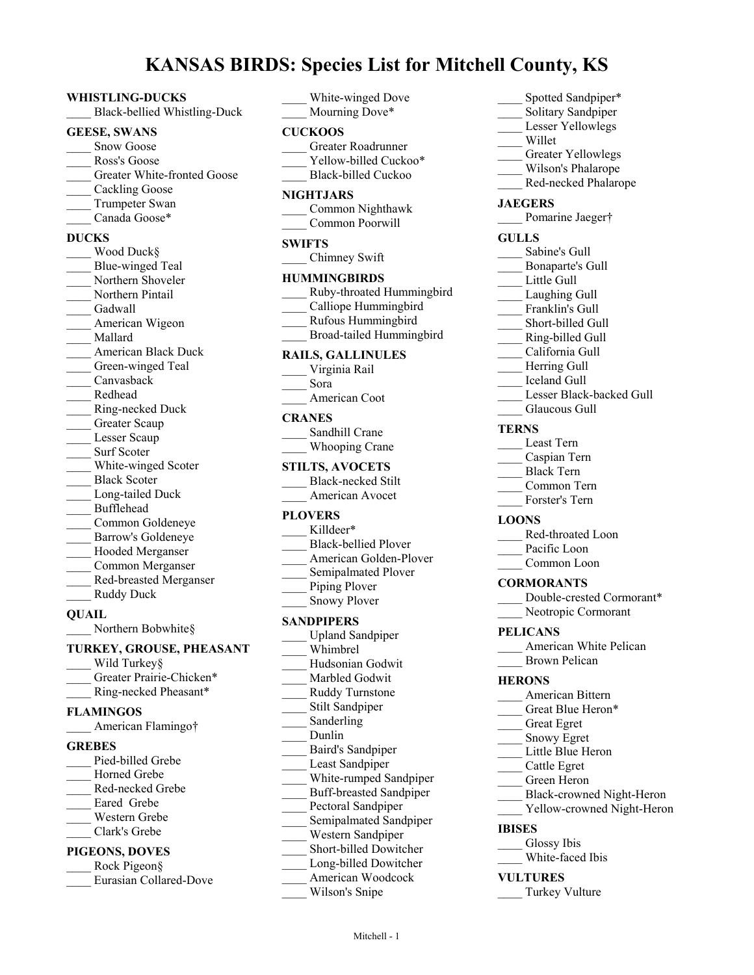# **KANSAS BIRDS: Species List for Mitchell County, KS**

#### **WHISTLING-DUCKS**

\_\_\_\_ Black-bellied Whistling-Duck

#### **GEESE, SWANS**

- Snow Goose
- \_\_\_\_ Ross's Goose
- Greater White-fronted Goose
- Cackling Goose
- \_\_\_\_ Trumpeter Swan
- Canada Goose\*

## **DUCKS**

Wood Duck§ \_\_\_\_ Blue-winged Teal Northern Shoveler Northern Pintail Gadwall American Wigeon \_\_\_\_ Mallard \_\_\_\_ American Black Duck Green-winged Teal Canvasback \_\_\_\_ Redhead \_\_\_\_ Ring-necked Duck Greater Scaup Lesser Scaup Surf Scoter White-winged Scoter Black Scoter Long-tailed Duck \_\_\_\_ Bufflehead \_\_\_\_ Common Goldeneye \_\_\_\_ Barrow's Goldeneye \_\_\_\_ Hooded Merganser \_\_\_\_ Common Merganser \_\_\_\_ Red-breasted Merganser Ruddy Duck

## **QUAIL**

Northern Bobwhite§

## **TURKEY, GROUSE, PHEASANT**

- Wild Turkey§
- Greater Prairie-Chicken\* \_\_\_\_ Ring-necked Pheasant\*

**FLAMINGOS**

American Flamingo†

#### **GREBES**

Pied-billed Grebe Horned Grebe \_\_\_\_ Red-necked Grebe Eared Grebe \_\_\_\_ Western Grebe \_\_\_\_ Clark's Grebe **PIGEONS, DOVES**

## $D_{\text{calc}}$   $D_{\text{mean}}^2$

| <b>NOCK FIGUOUS</b> |  |  |                        |  |  |
|---------------------|--|--|------------------------|--|--|
|                     |  |  | Eurasian Collared-Dove |  |  |

\_\_\_\_ Eurasian Collared-Dove

|                          | White-winged Dove<br>Mourning Dove*                                                                                                                                                      |
|--------------------------|------------------------------------------------------------------------------------------------------------------------------------------------------------------------------------------|
|                          | <b>CUCKOOS</b><br>Greater Roadrunner<br>Yellow-billed Cuckoo*<br><b>Black-billed Cuckoo</b>                                                                                              |
|                          | NIGHTJARS<br>Common Nighthawk<br>Common Poorwill                                                                                                                                         |
|                          | <b>SWIFTS</b><br>Chimney Swift                                                                                                                                                           |
| $\overline{\phantom{a}}$ | <b>HUMMINGBIRDS</b><br>Ruby-throated Hummingbird<br>Calliope Hummingbird<br>Rufous Hummingbird<br>Broad-tailed Hummingbird                                                               |
|                          | <b>RAILS, GALLINULES</b><br>Virginia Rail<br>Sora<br>American Coot                                                                                                                       |
|                          | <b>CRANES</b><br>Sandhill Crane<br>Whooping Crane                                                                                                                                        |
|                          | <b>STILTS, AVOCETS</b><br><b>Black-necked Stilt</b><br>American Avocet                                                                                                                   |
|                          | <b>PLOVERS</b><br>Killdeer*<br><b>Black-bellied Plover</b><br>American Golden-Plover<br>Semipalmated Plover<br>Piping Plover<br><b>Snowy Plover</b>                                      |
|                          | <b>SANDPIPERS</b><br><b>Upland Sandpiper</b><br>Whimbrel<br>Hudsonian Godwit<br>Marbled Godwit<br>Ruddy Turnstone<br><b>Stilt Sandpiper</b><br>Sanderling<br>Dunlin<br>Baird's Sandpiper |

Spotted Sandpiper\* Solitary Sandpiper Lesser Yellowlegs \_\_\_\_ Willet Greater Yellowlegs \_\_\_\_ Wilson's Phalarope Red-necked Phalarope **JAEGERS** Pomarine Jaeger† **GULLS** Sabine's Gull \_\_\_\_ Bonaparte's Gull Little Gull Laughing Gull Franklin's Gull Short-billed Gull \_\_\_\_ Ring-billed Gull \_\_\_\_ California Gull Herring Gull \_\_\_\_ Iceland Gull Lesser Black-backed Gull Glaucous Gull **TERNS** \_\_\_\_ Least Tern \_\_\_\_ Caspian Tern \_\_\_\_ Black Tern \_\_\_\_ Common Tern Forster's Tern **LOONS** Red-throated Loon Pacific Loon Common Loon **CORMORANTS** Double-crested Cormorant\* Neotropic Cormorant **PELICANS** American White Pelican Brown Pelican **HERONS** \_\_\_\_ American Bittern Great Blue Heron\* \_\_\_\_ Great Egret \_\_\_\_ Snowy Egret Little Blue Heron \_\_\_\_ Cattle Egret \_\_\_\_ Green Heron \_\_\_\_ Black-crowned Night-Heron Yellow-crowned Night-Heron **IBISES** Glossy Ibis

White-faced Ibis

## **VULTURES**

Turkey Vulture

Least Sandpiper

White-rumped Sandpiper \_\_\_\_ Buff-breasted Sandpiper Pectoral Sandpiper Semipalmated Sandpiper \_\_\_\_ Western Sandpiper \_\_\_\_ Short-billed Dowitcher Long-billed Dowitcher \_\_\_\_ American Woodcock Wilson's Snipe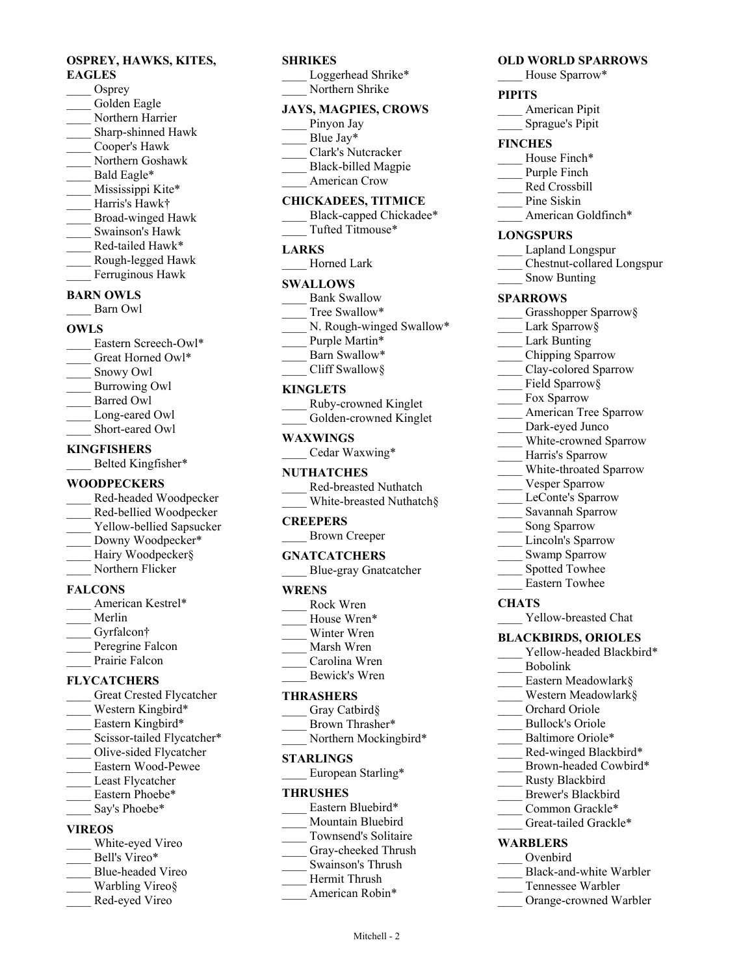#### **OSPREY, HAWKS, KITES, EAGLES**

Osprey Golden Eagle Northern Harrier Sharp-shinned Hawk \_\_\_\_ Cooper's Hawk \_\_\_\_ Northern Goshawk Bald Eagle\* Mississippi Kite\* \_\_\_\_ Harris's Hawk† \_\_\_\_ Broad-winged Hawk \_\_\_\_ Swainson's Hawk Red-tailed Hawk\* \_\_\_\_ Rough-legged Hawk Ferruginous Hawk

#### **BARN OWLS**

\_\_\_\_ Barn Owl

#### **OWLS**

Eastern Screech-Owl\* Great Horned Owl\* Snowy Owl \_\_\_\_ Burrowing Owl \_\_\_\_ Barred Owl Long-eared Owl Short-eared Owl

## **KINGFISHERS**

Belted Kingfisher\*

#### **WOODPECKERS**

- \_\_\_\_ Red-headed Woodpecker
- \_\_\_\_ Red-bellied Woodpecker
- Yellow-bellied Sapsucker
- Downy Woodpecker\*
- Hairy Woodpecker§ \_\_\_\_ Northern Flicker

#### **FALCONS**

American Kestrel\* \_\_\_\_ Merlin Gyrfalcon<sup>†</sup> Peregrine Falcon Prairie Falcon

#### **FLYCATCHERS**

- \_\_\_\_ Great Crested Flycatcher Western Kingbird\* Eastern Kingbird\* Scissor-tailed Flycatcher\* \_\_\_\_ Olive-sided Flycatcher \_\_\_\_ Eastern Wood-Pewee Least Flycatcher Eastern Phoebe\* Say's Phoebe\* **VIREOS** White-eyed Vireo Bell's Vireo\* \_\_\_\_ Blue-headed Vireo
- 
- Warbling Vireo§
- \_\_\_\_ Red-eyed Vireo

## **SHRIKES**

Loggerhead Shrike\* Northern Shrike

## **JAYS, MAGPIES, CROWS**

- Pinyon Jay
- Blue Jay\*
- \_\_\_\_ Clark's Nutcracker
- \_\_\_\_ Black-billed Magpie
- American Crow

## **CHICKADEES, TITMICE**

Black-capped Chickadee\* Tufted Titmouse\*

#### **LARKS**

Horned Lark

#### **SWALLOWS**

- Bank Swallow
- Tree Swallow\*
- N. Rough-winged Swallow\*
- Purple Martin\*
- Barn Swallow\*
- \_\_\_\_ Cliff Swallow§

#### **KINGLETS**

| Ruby-crowned Kinglet   |
|------------------------|
| Golden-crowned Kinglet |

#### **WAXWINGS**

| Cedar Waxwing* |  |  |
|----------------|--|--|
|                |  |  |

#### **NUTHATCHES**

|  | Red-breasted Nuthatch |  |  |  |
|--|-----------------------|--|--|--|
|  |                       |  |  |  |

White-breasted Nuthatch§

#### **CREEPERS**

\_\_\_\_ Brown Creeper

#### **GNATCATCHERS**

\_\_\_\_ Blue-gray Gnatcatcher

#### **WRENS**

- \_\_\_\_ Rock Wren
- House Wren\*
- Winter Wren
- \_\_\_\_ Marsh Wren
- \_\_\_\_ Carolina Wren \_\_\_\_ Bewick's Wren

#### **THRASHERS**

Gray Catbird§

Brown Thrasher\*

Northern Mockingbird\*

#### **STARLINGS**

\_\_\_\_ European Starling\*

#### **THRUSHES**

- Eastern Bluebird\*
- Mountain Bluebird
- \_\_\_\_ Townsend's Solitaire Gray-cheeked Thrush

Mitchell - 2

- \_\_\_\_ Swainson's Thrush
- \_\_\_\_ Hermit Thrush
- American Robin\*

### **OLD WORLD SPARROWS**

House Sparrow\*

#### **PIPITS**

\_\_\_\_ American Pipit \_\_\_\_ Sprague's Pipit

#### **FINCHES**

- House Finch\*
- Purple Finch
- \_\_\_\_ Red Crossbill
- Pine Siskin
- American Goldfinch\*

#### **LONGSPURS**

- \_\_\_\_ Lapland Longspur
- \_\_\_\_ Chestnut-collared Longspur
- Snow Bunting

#### **SPARROWS**

- Grasshopper Sparrow§
- Lark Sparrow§
- Lark Bunting
- \_\_\_\_ Chipping Sparrow
- \_\_\_\_ Clay-colored Sparrow
- Field Sparrow§
- Fox Sparrow
- \_\_\_\_ American Tree Sparrow
	- Dark-eyed Junco
- White-crowned Sparrow
	- \_\_\_\_ Harris's Sparrow
- White-throated Sparrow

Lincoln's Sparrow Swamp Sparrow Spotted Towhee \_\_\_\_ Eastern Towhee

Yellow-breasted Chat **BLACKBIRDS, ORIOLES**

> Eastern Meadowlark§ Western Meadowlark§ Orchard Oriole Bullock's Oriole Baltimore Oriole\* Red-winged Blackbird\* Brown-headed Cowbird\*

\_\_\_\_ Rusty Blackbird Brewer's Blackbird Common Grackle\* Great-tailed Grackle\*

Black-and-white Warbler \_\_\_\_ Tennessee Warbler Orange-crowned Warbler

**WARBLERS** \_\_\_\_ Ovenbird

Yellow-headed Blackbird\*

- Vesper Sparrow
- LeConte's Sparrow
- \_\_\_\_ Savannah Sparrow Song Sparrow

\_\_\_\_ Bobolink

**CHATS**